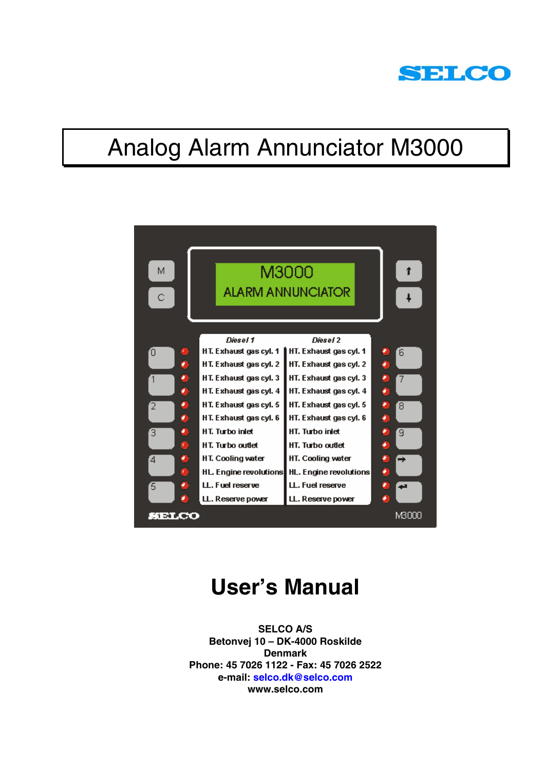

# Analog Alarm Annunciator M3000



## **User's Manual**

**SELCO A/S Betonvej 10 – DK-4000 Roskilde Denmark Phone: 45 7026 1122 - Fax: 45 7026 2522 e-mail: selco.dk@selco.com www.selco.com**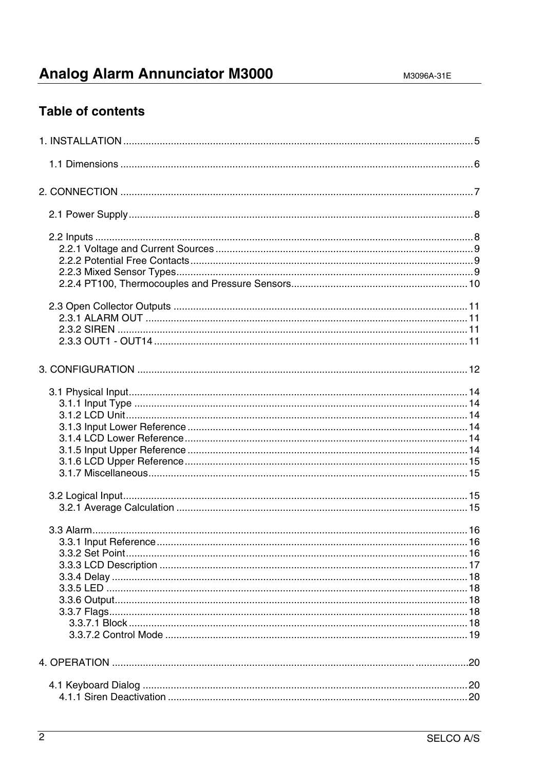### **Analog Alarm Annunciator M3000**

### **Table of contents**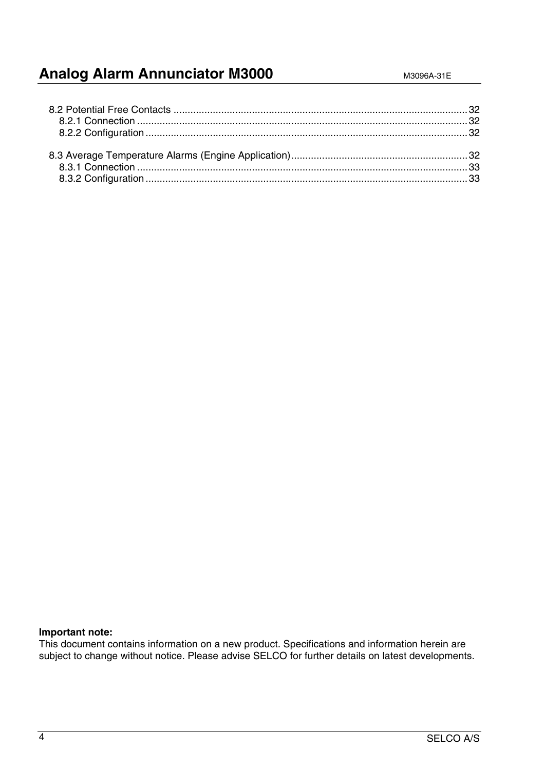### **Analog Alarm Annunciator M3000** M3096A-31E

#### **Important note:**

This document contains information on a new product. Specifications and information herein are subject to change without notice. Please advise SELCO for further details on latest developments.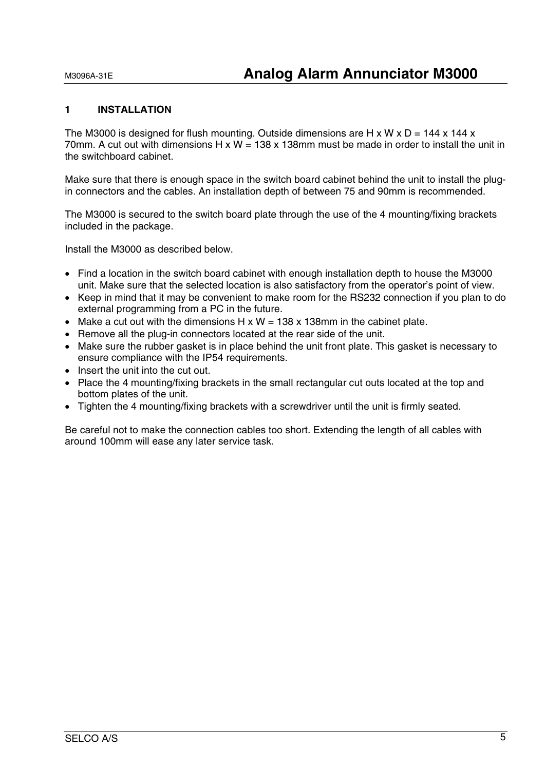#### **1 INSTALLATION**

The M3000 is designed for flush mounting. Outside dimensions are H x W x  $D = 144$  x 144 x 70mm. A cut out with dimensions H  $x W = 138x 138$ mm must be made in order to install the unit in the switchboard cabinet.

Make sure that there is enough space in the switch board cabinet behind the unit to install the plugin connectors and the cables. An installation depth of between 75 and 90mm is recommended.

The M3000 is secured to the switch board plate through the use of the 4 mounting/fixing brackets included in the package.

Install the M3000 as described below.

- Find a location in the switch board cabinet with enough installation depth to house the M3000 unit. Make sure that the selected location is also satisfactory from the operator's point of view.
- Keep in mind that it may be convenient to make room for the RS232 connection if you plan to do external programming from a PC in the future.
- Make a cut out with the dimensions  $H \times W = 138 \times 138$ mm in the cabinet plate.
- Remove all the plug-in connectors located at the rear side of the unit.
- Make sure the rubber gasket is in place behind the unit front plate. This gasket is necessary to ensure compliance with the IP54 requirements.
- Insert the unit into the cut out.
- Place the 4 mounting/fixing brackets in the small rectangular cut outs located at the top and bottom plates of the unit.
- Tighten the 4 mounting/fixing brackets with a screwdriver until the unit is firmly seated.

Be careful not to make the connection cables too short. Extending the length of all cables with around 100mm will ease any later service task.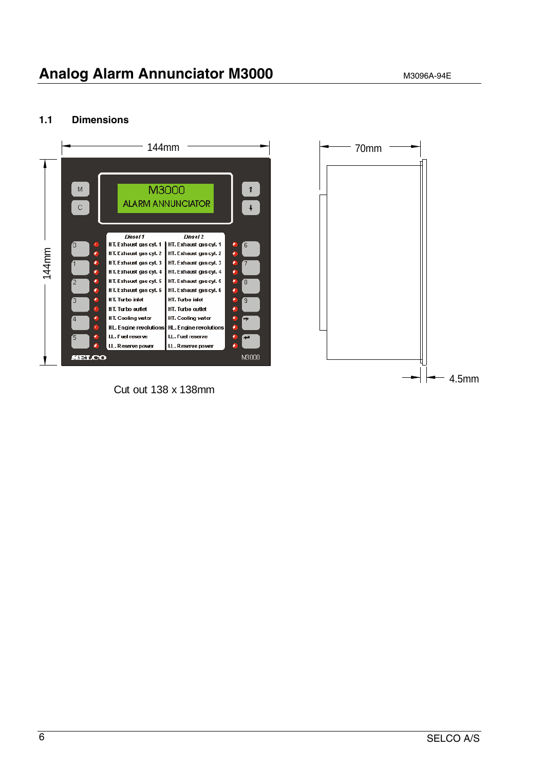#### **1.1 Dimensions**



Cut out 138 x 138mm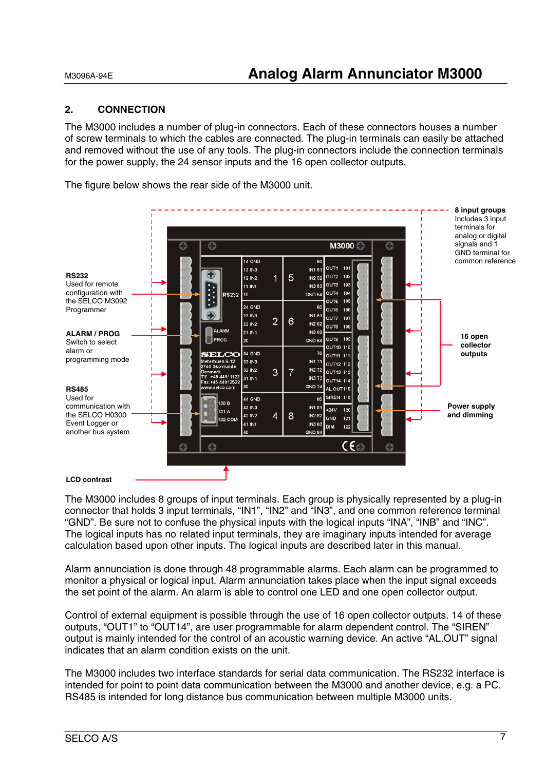#### **2. CONNECTION**

The M3000 includes a number of plug-in connectors. Each of these connectors houses a number of screw terminals to which the cables are connected. The plug-in terminals can easily be attached and removed without the use of any tools. The plug-in connectors include the connection terminals for the power supply, the 24 sensor inputs and the 16 open collector outputs.

The figure below shows the rear side of the M3000 unit.



The M3000 includes 8 groups of input terminals. Each group is physically represented by a plug-in connector that holds 3 input terminals, "IN1", "IN2" and "IN3", and one common reference terminal "GND". Be sure not to confuse the physical inputs with the logical inputs "INA", "INB" and "INC". The logical inputs has no related input terminals, they are imaginary inputs intended for average calculation based upon other inputs. The logical inputs are described later in this manual.

Alarm annunciation is done through 48 programmable alarms. Each alarm can be programmed to monitor a physical or logical input. Alarm annunciation takes place when the input signal exceeds the set point of the alarm. An alarm is able to control one LED and one open collector output.

Control of external equipment is possible through the use of 16 open collector outputs. 14 of these outputs, "OUT1" to "OUT14", are user programmable for alarm dependent control. The "SIREN" output is mainly intended for the control of an acoustic warning device. An active "AL.OUT" signal indicates that an alarm condition exists on the unit.

The M3000 includes two interface standards for serial data communication. The RS232 interface is intended for point to point data communication between the M3000 and another device, e.g. a PC. RS485 is intended for long distance bus communication between multiple M3000 units.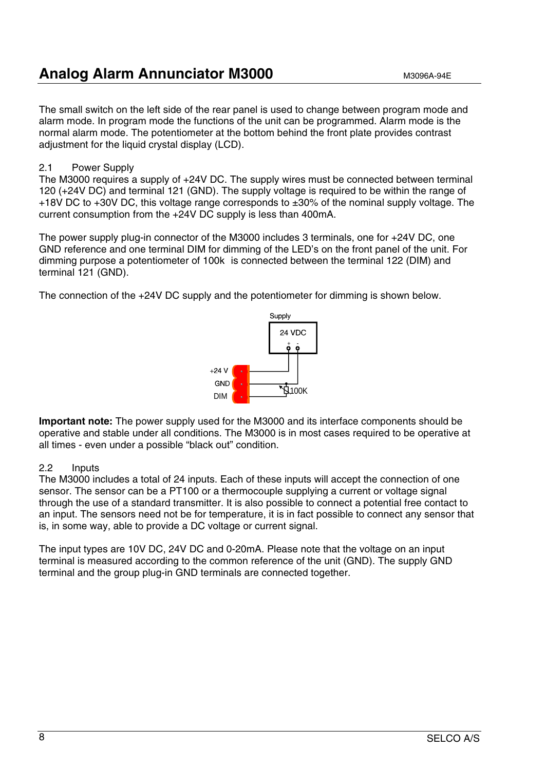### **Analog Alarm Annunciator M3000** M3096A-94E

The small switch on the left side of the rear panel is used to change between program mode and alarm mode. In program mode the functions of the unit can be programmed. Alarm mode is the normal alarm mode. The potentiometer at the bottom behind the front plate provides contrast adjustment for the liquid crystal display (LCD).

#### 2.1 Power Supply

The M3000 requires a supply of +24V DC. The supply wires must be connected between terminal 120 (+24V DC) and terminal 121 (GND). The supply voltage is required to be within the range of +18V DC to +30V DC, this voltage range corresponds to ±30% of the nominal supply voltage. The current consumption from the +24V DC supply is less than 400mA.

The power supply plug-in connector of the M3000 includes 3 terminals, one for +24V DC, one GND reference and one terminal DIM for dimming of the LED's on the front panel of the unit. For dimming purpose a potentiometer of 100k is connected between the terminal 122 (DIM) and terminal 121 (GND).

The connection of the +24V DC supply and the potentiometer for dimming is shown below.



**Important note:** The power supply used for the M3000 and its interface components should be operative and stable under all conditions. The M3000 is in most cases required to be operative at all times - even under a possible "black out" condition.

#### 2.2 Inputs

The M3000 includes a total of 24 inputs. Each of these inputs will accept the connection of one sensor. The sensor can be a PT100 or a thermocouple supplying a current or voltage signal through the use of a standard transmitter. It is also possible to connect a potential free contact to an input. The sensors need not be for temperature, it is in fact possible to connect any sensor that is, in some way, able to provide a DC voltage or current signal.

The input types are 10V DC, 24V DC and 0-20mA. Please note that the voltage on an input terminal is measured according to the common reference of the unit (GND). The supply GND terminal and the group plug-in GND terminals are connected together.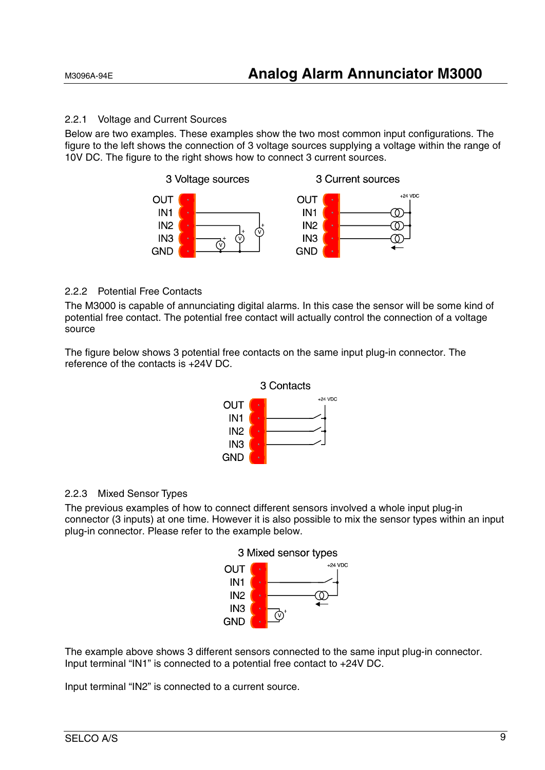#### 2.2.1 Voltage and Current Sources

Below are two examples. These examples show the two most common input configurations. The figure to the left shows the connection of 3 voltage sources supplying a voltage within the range of 10V DC. The figure to the right shows how to connect 3 current sources.



#### 2.2.2 Potential Free Contacts

The M3000 is capable of annunciating digital alarms. In this case the sensor will be some kind of potential free contact. The potential free contact will actually control the connection of a voltage source

The figure below shows 3 potential free contacts on the same input plug-in connector. The reference of the contacts is +24V DC.



#### 2.2.3 Mixed Sensor Types

The previous examples of how to connect different sensors involved a whole input plug-in connector (3 inputs) at one time. However it is also possible to mix the sensor types within an input plug-in connector. Please refer to the example below.



The example above shows 3 different sensors connected to the same input plug-in connector. Input terminal "IN1" is connected to a potential free contact to +24V DC.

Input terminal "IN2" is connected to a current source.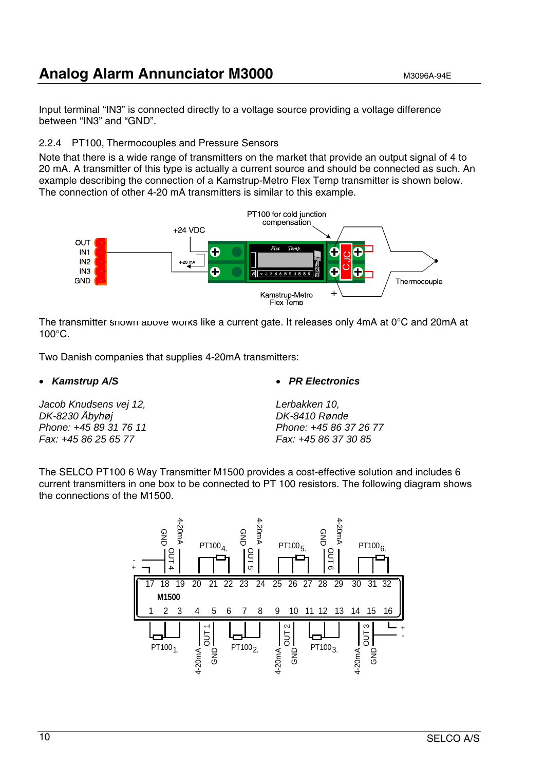### **Analog Alarm Annunciator M3000** M3096A-94E

Input terminal "IN3" is connected directly to a voltage source providing a voltage difference between "IN3" and "GND".

#### 2.2.4 PT100, Thermocouples and Pressure Sensors

Note that there is a wide range of transmitters on the market that provide an output signal of 4 to 20 mA. A transmitter of this type is actually a current source and should be connected as such. An example describing the connection of a Kamstrup-Metro Flex Temp transmitter is shown below. The connection of other 4-20 mA transmitters is similar to this example.



The transmitter snown above works like a current gate. It releases only  $4mA$  at 0 $\degree$ C and 20mA at 100°C.

Two Danish companies that supplies 4-20mA transmitters:

• *Kamstrup A/S* 

*Jacob Knudsens vej 12, DK-8230 Åbyhøj Phone: +45 89 31 76 11 Fax: +45 86 25 65 77* 

• *PR Electronics*

*Lerbakken 10, DK-8410 Rønde Phone: +45 86 37 26 77 Fax: +45 86 37 30 85*

The SELCO PT100 6 Way Transmitter M1500 provides a cost-effective solution and includes 6 current transmitters in one box to be connected to PT 100 resistors. The following diagram shows the connections of the M1500.

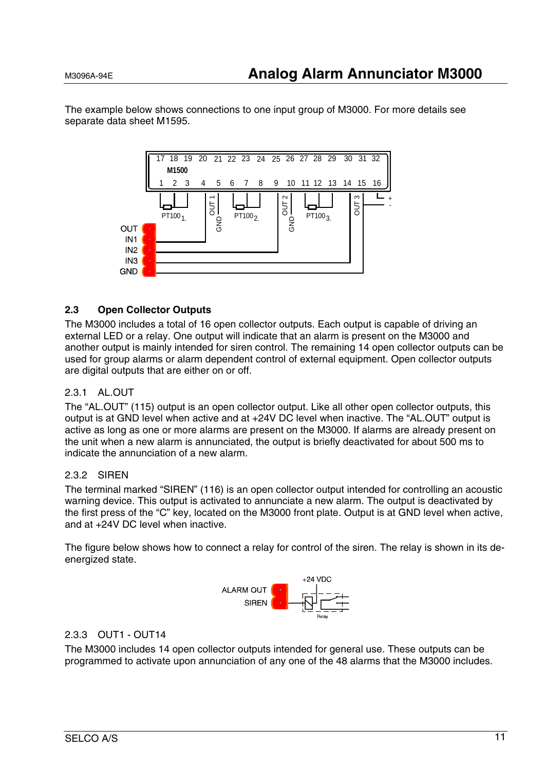The example below shows connections to one input group of M3000. For more details see separate data sheet M1595.



#### **2.3 Open Collector Outputs**

The M3000 includes a total of 16 open collector outputs. Each output is capable of driving an external LED or a relay. One output will indicate that an alarm is present on the M3000 and another output is mainly intended for siren control. The remaining 14 open collector outputs can be used for group alarms or alarm dependent control of external equipment. Open collector outputs are digital outputs that are either on or off.

#### 2.3.1 AL.OUT

The "AL.OUT" (115) output is an open collector output. Like all other open collector outputs, this output is at GND level when active and at +24V DC level when inactive. The "AL.OUT" output is active as long as one or more alarms are present on the M3000. If alarms are already present on the unit when a new alarm is annunciated, the output is briefly deactivated for about 500 ms to indicate the annunciation of a new alarm.

#### 2.3.2 SIREN

The terminal marked "SIREN" (116) is an open collector output intended for controlling an acoustic warning device. This output is activated to annunciate a new alarm. The output is deactivated by the first press of the "C" key, located on the M3000 front plate. Output is at GND level when active, and at +24V DC level when inactive.

The figure below shows how to connect a relay for control of the siren. The relay is shown in its deenergized state.



#### 2.3.3 OUT1 - OUT14

The M3000 includes 14 open collector outputs intended for general use. These outputs can be programmed to activate upon annunciation of any one of the 48 alarms that the M3000 includes.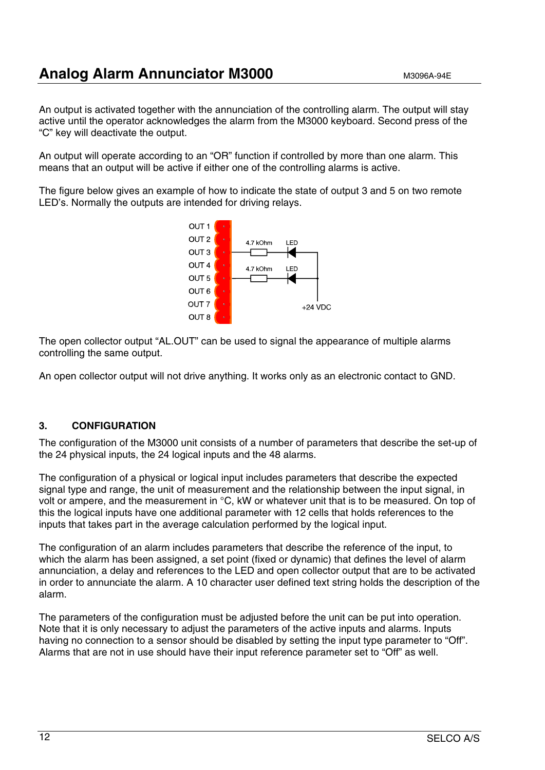An output is activated together with the annunciation of the controlling alarm. The output will stay active until the operator acknowledges the alarm from the M3000 keyboard. Second press of the "C" key will deactivate the output.

An output will operate according to an "OR" function if controlled by more than one alarm. This means that an output will be active if either one of the controlling alarms is active.

The figure below gives an example of how to indicate the state of output 3 and 5 on two remote LED's. Normally the outputs are intended for driving relays.



The open collector output "AL.OUT" can be used to signal the appearance of multiple alarms controlling the same output.

An open collector output will not drive anything. It works only as an electronic contact to GND.

#### **3. CONFIGURATION**

The configuration of the M3000 unit consists of a number of parameters that describe the set-up of the 24 physical inputs, the 24 logical inputs and the 48 alarms.

The configuration of a physical or logical input includes parameters that describe the expected signal type and range, the unit of measurement and the relationship between the input signal, in volt or ampere, and the measurement in °C, kW or whatever unit that is to be measured. On top of this the logical inputs have one additional parameter with 12 cells that holds references to the inputs that takes part in the average calculation performed by the logical input.

The configuration of an alarm includes parameters that describe the reference of the input, to which the alarm has been assigned, a set point (fixed or dynamic) that defines the level of alarm annunciation, a delay and references to the LED and open collector output that are to be activated in order to annunciate the alarm. A 10 character user defined text string holds the description of the alarm.

The parameters of the configuration must be adjusted before the unit can be put into operation. Note that it is only necessary to adjust the parameters of the active inputs and alarms. Inputs having no connection to a sensor should be disabled by setting the input type parameter to "Off". Alarms that are not in use should have their input reference parameter set to "Off" as well.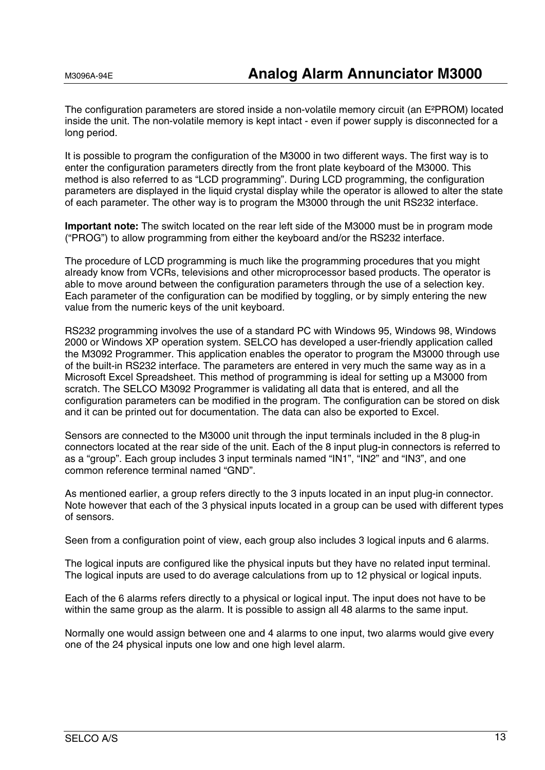The configuration parameters are stored inside a non-volatile memory circuit (an E²PROM) located inside the unit. The non-volatile memory is kept intact - even if power supply is disconnected for a long period.

It is possible to program the configuration of the M3000 in two different ways. The first way is to enter the configuration parameters directly from the front plate keyboard of the M3000. This method is also referred to as "LCD programming". During LCD programming, the configuration parameters are displayed in the liquid crystal display while the operator is allowed to alter the state of each parameter. The other way is to program the M3000 through the unit RS232 interface.

**Important note:** The switch located on the rear left side of the M3000 must be in program mode ("PROG") to allow programming from either the keyboard and/or the RS232 interface.

The procedure of LCD programming is much like the programming procedures that you might already know from VCRs, televisions and other microprocessor based products. The operator is able to move around between the configuration parameters through the use of a selection key. Each parameter of the configuration can be modified by toggling, or by simply entering the new value from the numeric keys of the unit keyboard.

RS232 programming involves the use of a standard PC with Windows 95, Windows 98, Windows 2000 or Windows XP operation system. SELCO has developed a user-friendly application called the M3092 Programmer. This application enables the operator to program the M3000 through use of the built-in RS232 interface. The parameters are entered in very much the same way as in a Microsoft Excel Spreadsheet. This method of programming is ideal for setting up a M3000 from scratch. The SELCO M3092 Programmer is validating all data that is entered, and all the configuration parameters can be modified in the program. The configuration can be stored on disk and it can be printed out for documentation. The data can also be exported to Excel.

Sensors are connected to the M3000 unit through the input terminals included in the 8 plug-in connectors located at the rear side of the unit. Each of the 8 input plug-in connectors is referred to as a "group". Each group includes 3 input terminals named "IN1", "IN2" and "IN3", and one common reference terminal named "GND".

As mentioned earlier, a group refers directly to the 3 inputs located in an input plug-in connector. Note however that each of the 3 physical inputs located in a group can be used with different types of sensors.

Seen from a configuration point of view, each group also includes 3 logical inputs and 6 alarms.

The logical inputs are configured like the physical inputs but they have no related input terminal. The logical inputs are used to do average calculations from up to 12 physical or logical inputs.

Each of the 6 alarms refers directly to a physical or logical input. The input does not have to be within the same group as the alarm. It is possible to assign all 48 alarms to the same input.

Normally one would assign between one and 4 alarms to one input, two alarms would give every one of the 24 physical inputs one low and one high level alarm.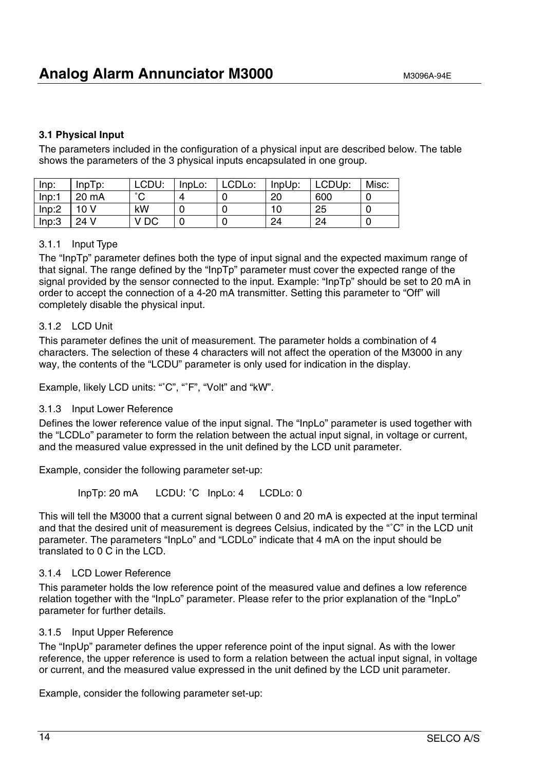#### **3.1 Physical Input**

The parameters included in the configuration of a physical input are described below. The table shows the parameters of the 3 physical inputs encapsulated in one group.

| Inp:  | $InpTp$ : | LCDU:  | InpLo: | LCDLo: | InpUp: | LCDUp: | Misc: |
|-------|-----------|--------|--------|--------|--------|--------|-------|
| Inp:1 | 20 mA     | $\sim$ |        |        | 20     | 600    |       |
| Inp:2 | 10 V      | kW     |        |        | 10     | 25     |       |
| Inp:3 | 24 V      | V DC   |        |        | 24     | 24     | U     |

#### 3.1.1 Input Type

The "InpTp" parameter defines both the type of input signal and the expected maximum range of that signal. The range defined by the "InpTp" parameter must cover the expected range of the signal provided by the sensor connected to the input. Example: "InpTp" should be set to 20 mA in order to accept the connection of a 4-20 mA transmitter. Setting this parameter to "Off" will completely disable the physical input.

#### 3.1.2 LCD Unit

This parameter defines the unit of measurement. The parameter holds a combination of 4 characters. The selection of these 4 characters will not affect the operation of the M3000 in any way, the contents of the "LCDU" parameter is only used for indication in the display.

Example, likely LCD units: "°C", "°F", "Volt" and "kW".

#### 3.1.3 Input Lower Reference

Defines the lower reference value of the input signal. The "InpLo" parameter is used together with the "LCDLo" parameter to form the relation between the actual input signal, in voltage or current, and the measured value expressed in the unit defined by the LCD unit parameter.

Example, consider the following parameter set-up:

InpTp: 20 mA LCDU: ˚C InpLo: 4 LCDLo: 0

This will tell the M3000 that a current signal between 0 and 20 mA is expected at the input terminal and that the desired unit of measurement is degrees Celsius, indicated by the "˚C" in the LCD unit parameter. The parameters "InpLo" and "LCDLo" indicate that 4 mA on the input should be translated to 0 C in the LCD.

#### 3.1.4 LCD Lower Reference

This parameter holds the low reference point of the measured value and defines a low reference relation together with the "InpLo" parameter. Please refer to the prior explanation of the "InpLo" parameter for further details.

#### 3.1.5 Input Upper Reference

The "InpUp" parameter defines the upper reference point of the input signal. As with the lower reference, the upper reference is used to form a relation between the actual input signal, in voltage or current, and the measured value expressed in the unit defined by the LCD unit parameter.

Example, consider the following parameter set-up: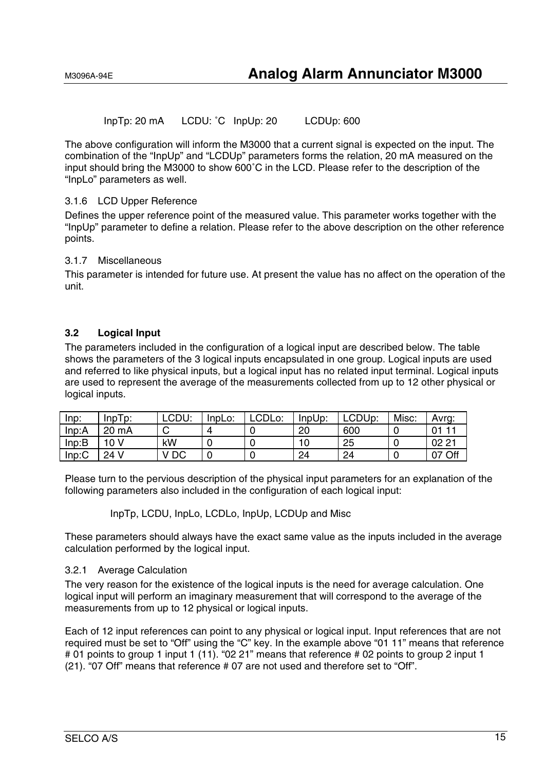InpTp: 20 mA LCDU: ˚C InpUp: 20 LCDUp: 600

The above configuration will inform the M3000 that a current signal is expected on the input. The combination of the "InpUp" and "LCDUp" parameters forms the relation, 20 mA measured on the input should bring the M3000 to show 600˚C in the LCD. Please refer to the description of the "InpLo" parameters as well.

#### 3.1.6 LCD Upper Reference

Defines the upper reference point of the measured value. This parameter works together with the "InpUp" parameter to define a relation. Please refer to the above description on the other reference points.

#### 3.1.7 Miscellaneous

This parameter is intended for future use. At present the value has no affect on the operation of the unit.

#### **3.2 Logical Input**

The parameters included in the configuration of a logical input are described below. The table shows the parameters of the 3 logical inputs encapsulated in one group. Logical inputs are used and referred to like physical inputs, but a logical input has no related input terminal. Logical inputs are used to represent the average of the measurements collected from up to 12 other physical or logical inputs.

| $lnp$ : | InpTo: | LCDU: | InpLo: | LCDLo: | InpUp: | LCDUp: | Misc: | Avrg: |
|---------|--------|-------|--------|--------|--------|--------|-------|-------|
| Inp:A   | 20 mA  |       |        |        | 20     | 600    |       |       |
| Inp:B   | 10 V   | kW    |        |        | 10     | 25     |       | 022   |
| Inp:C   | 24 V   | DC    |        |        | 24     | 24     |       | Off   |

Please turn to the pervious description of the physical input parameters for an explanation of the following parameters also included in the configuration of each logical input:

InpTp, LCDU, InpLo, LCDLo, InpUp, LCDUp and Misc

These parameters should always have the exact same value as the inputs included in the average calculation performed by the logical input.

#### 3.2.1 Average Calculation

The very reason for the existence of the logical inputs is the need for average calculation. One logical input will perform an imaginary measurement that will correspond to the average of the measurements from up to 12 physical or logical inputs.

Each of 12 input references can point to any physical or logical input. Input references that are not required must be set to "Off" using the "C" key. In the example above "01 11" means that reference # 01 points to group 1 input 1 (11). "02 21" means that reference # 02 points to group 2 input 1 (21). "07 Off" means that reference # 07 are not used and therefore set to "Off".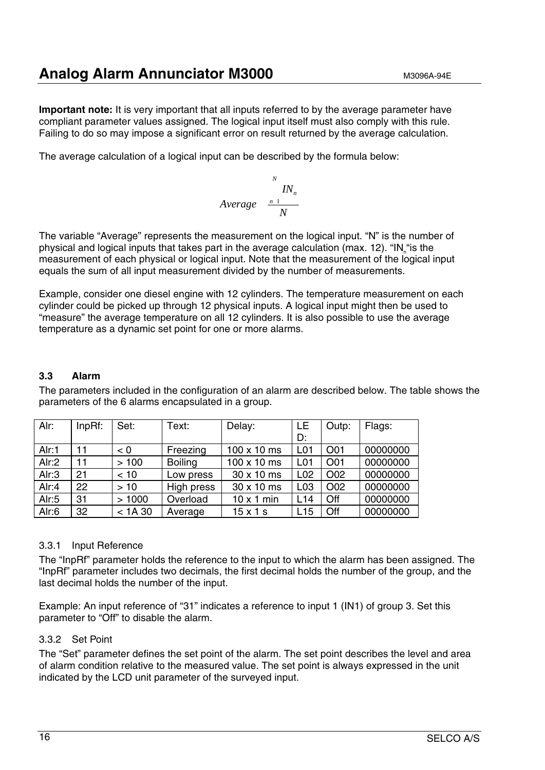### **Analog Alarm Annunciator M3000** M3096A-94E

**Important note:** It is very important that all inputs referred to by the average parameter have compliant parameter values assigned. The logical input itself must also comply with this rule. Failing to do so may impose a significant error on result returned by the average calculation.

The average calculation of a logical input can be described by the formula below:

$$
Average \frac{N}{N_n}
$$
\n
$$
Average \frac{n \frac{1}{N}}{N}
$$

The variable "Average" represents the measurement on the logical input. "N" is the number of physical and logical inputs that takes part in the average calculation (max. 12). "IN "is the measurement of each physical or logical input. Note that the measurement of the logical input equals the sum of all input measurement divided by the number of measurements.

Example, consider one diesel engine with 12 cylinders. The temperature measurement on each cylinder could be picked up through 12 physical inputs. A logical input might then be used to "measure" the average temperature on all 12 cylinders. It is also possible to use the average temperature as a dynamic set point for one or more alarms.

#### **3.3 Alarm**

The parameters included in the configuration of an alarm are described below. The table shows the parameters of the 6 alarms encapsulated in a group.

| Alr:  | $InpRf$ : | Set:     | Text:          | Delay:            | LE              | Outp: | Flags:   |
|-------|-----------|----------|----------------|-------------------|-----------------|-------|----------|
|       |           |          |                |                   | D:              |       |          |
| Alr:1 | 11        | < 0      | Freezing       | 100 x 10 ms       | L <sub>01</sub> | O01   | 00000000 |
| Air:2 | 11        | >100     | <b>Boiling</b> | 100 x 10 ms       | L <sub>01</sub> | O01   | 00000000 |
| Alr:3 | 21        | < 10     | Low press      | 30 x 10 ms        | L <sub>02</sub> | O02   | 00000000 |
| Alr:4 | 22        | >10      | High press     | 30 x 10 ms        | L <sub>03</sub> | O02   | 00000000 |
| Alr:5 | 31        | >1000    | Overload       | $10 \times 1$ min | L14             | Off   | 00000000 |
| Alr:6 | 32        | $< 1A30$ | Average        | $15 \times 1$ s   | L15             | Off   | 00000000 |

#### 3.3.1 Input Reference

The "InpRf" parameter holds the reference to the input to which the alarm has been assigned. The "InpRf" parameter includes two decimals, the first decimal holds the number of the group, and the last decimal holds the number of the input.

Example: An input reference of "31" indicates a reference to input 1 (IN1) of group 3. Set this parameter to "Off" to disable the alarm.

#### 3.3.2 Set Point

The "Set" parameter defines the set point of the alarm. The set point describes the level and area of alarm condition relative to the measured value. The set point is always expressed in the unit indicated by the LCD unit parameter of the surveyed input.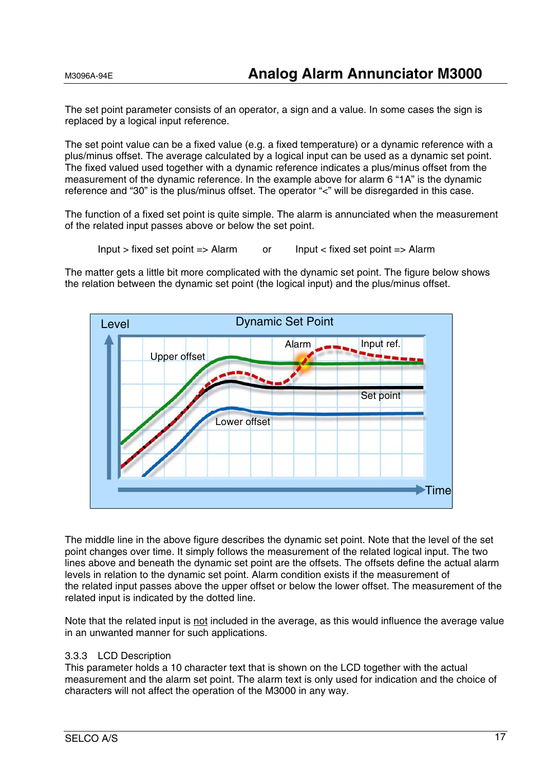The set point parameter consists of an operator, a sign and a value. In some cases the sign is replaced by a logical input reference.

The set point value can be a fixed value (e.g. a fixed temperature) or a dynamic reference with a plus/minus offset. The average calculated by a logical input can be used as a dynamic set point. The fixed valued used together with a dynamic reference indicates a plus/minus offset from the measurement of the dynamic reference. In the example above for alarm 6 "1A" is the dynamic reference and "30" is the plus/minus offset. The operator "<" will be disregarded in this case.

The function of a fixed set point is quite simple. The alarm is annunciated when the measurement of the related input passes above or below the set point.

Input > fixed set point => Alarm or Input < fixed set point => Alarm

The matter gets a little bit more complicated with the dynamic set point. The figure below shows the relation between the dynamic set point (the logical input) and the plus/minus offset.



The middle line in the above figure describes the dynamic set point. Note that the level of the set point changes over time. It simply follows the measurement of the related logical input. The two lines above and beneath the dynamic set point are the offsets. The offsets define the actual alarm levels in relation to the dynamic set point. Alarm condition exists if the measurement of the related input passes above the upper offset or below the lower offset. The measurement of the related input is indicated by the dotted line.

Note that the related input is not included in the average, as this would influence the average value in an unwanted manner for such applications.

#### 3.3.3 LCD Description

This parameter holds a 10 character text that is shown on the LCD together with the actual measurement and the alarm set point. The alarm text is only used for indication and the choice of characters will not affect the operation of the M3000 in any way.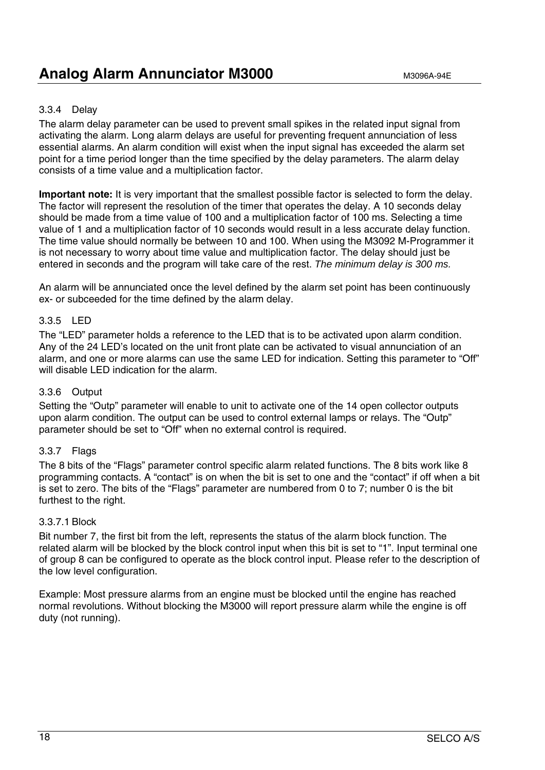#### 3.3.4 Delay

The alarm delay parameter can be used to prevent small spikes in the related input signal from activating the alarm. Long alarm delays are useful for preventing frequent annunciation of less essential alarms. An alarm condition will exist when the input signal has exceeded the alarm set point for a time period longer than the time specified by the delay parameters. The alarm delay consists of a time value and a multiplication factor.

**Important note:** It is very important that the smallest possible factor is selected to form the delay. The factor will represent the resolution of the timer that operates the delay. A 10 seconds delay should be made from a time value of 100 and a multiplication factor of 100 ms. Selecting a time value of 1 and a multiplication factor of 10 seconds would result in a less accurate delay function. The time value should normally be between 10 and 100. When using the M3092 M-Programmer it is not necessary to worry about time value and multiplication factor. The delay should just be entered in seconds and the program will take care of the rest. *The minimum delay is 300 ms.* 

An alarm will be annunciated once the level defined by the alarm set point has been continuously ex- or subceeded for the time defined by the alarm delay.

#### 3.3.5 LED

The "LED" parameter holds a reference to the LED that is to be activated upon alarm condition. Any of the 24 LED's located on the unit front plate can be activated to visual annunciation of an alarm, and one or more alarms can use the same LED for indication. Setting this parameter to "Off" will disable LED indication for the alarm.

#### 3.3.6 Output

Setting the "Outp" parameter will enable to unit to activate one of the 14 open collector outputs upon alarm condition. The output can be used to control external lamps or relays. The "Outp" parameter should be set to "Off" when no external control is required.

#### 3.3.7 Flags

The 8 bits of the "Flags" parameter control specific alarm related functions. The 8 bits work like 8 programming contacts. A "contact" is on when the bit is set to one and the "contact" if off when a bit is set to zero. The bits of the "Flags" parameter are numbered from 0 to 7; number 0 is the bit furthest to the right.

#### 3.3.7.1 Block

Bit number 7, the first bit from the left, represents the status of the alarm block function. The related alarm will be blocked by the block control input when this bit is set to "1". Input terminal one of group 8 can be configured to operate as the block control input. Please refer to the description of the low level configuration.

Example: Most pressure alarms from an engine must be blocked until the engine has reached normal revolutions. Without blocking the M3000 will report pressure alarm while the engine is off duty (not running).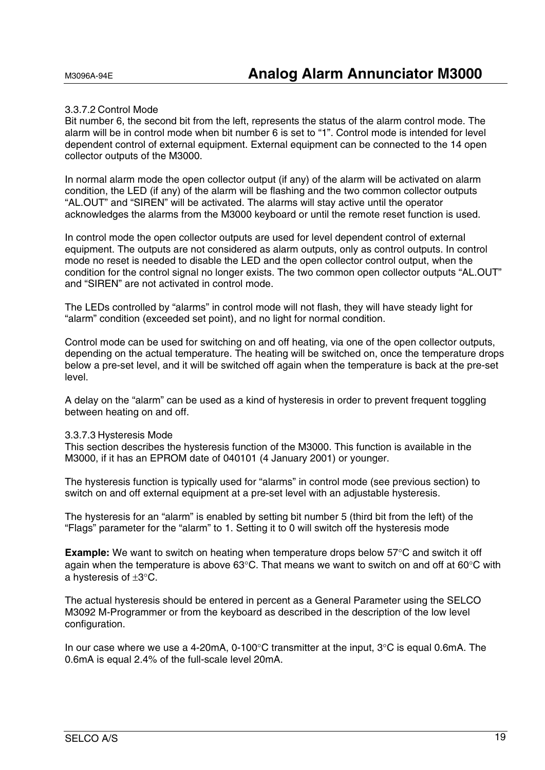#### 3.3.7.2 Control Mode

Bit number 6, the second bit from the left, represents the status of the alarm control mode. The alarm will be in control mode when bit number 6 is set to "1". Control mode is intended for level dependent control of external equipment. External equipment can be connected to the 14 open collector outputs of the M3000.

In normal alarm mode the open collector output (if any) of the alarm will be activated on alarm condition, the LED (if any) of the alarm will be flashing and the two common collector outputs "AL.OUT" and "SIREN" will be activated. The alarms will stay active until the operator acknowledges the alarms from the M3000 keyboard or until the remote reset function is used.

In control mode the open collector outputs are used for level dependent control of external equipment. The outputs are not considered as alarm outputs, only as control outputs. In control mode no reset is needed to disable the LED and the open collector control output, when the condition for the control signal no longer exists. The two common open collector outputs "AL.OUT" and "SIREN" are not activated in control mode.

The LEDs controlled by "alarms" in control mode will not flash, they will have steady light for "alarm" condition (exceeded set point), and no light for normal condition.

Control mode can be used for switching on and off heating, via one of the open collector outputs, depending on the actual temperature. The heating will be switched on, once the temperature drops below a pre-set level, and it will be switched off again when the temperature is back at the pre-set level.

A delay on the "alarm" can be used as a kind of hysteresis in order to prevent frequent toggling between heating on and off.

#### 3.3.7.3 Hysteresis Mode

This section describes the hysteresis function of the M3000. This function is available in the M3000, if it has an EPROM date of 040101 (4 January 2001) or younger.

The hysteresis function is typically used for "alarms" in control mode (see previous section) to switch on and off external equipment at a pre-set level with an adjustable hysteresis.

The hysteresis for an "alarm" is enabled by setting bit number 5 (third bit from the left) of the "Flags" parameter for the "alarm" to 1. Setting it to 0 will switch off the hysteresis mode

**Example:** We want to switch on heating when temperature drops below 57°C and switch it off again when the temperature is above 63°C. That means we want to switch on and off at 60°C with a hysteresis of ±3°C.

The actual hysteresis should be entered in percent as a General Parameter using the SELCO M3092 M-Programmer or from the keyboard as described in the description of the low level configuration.

In our case where we use a 4-20mA, 0-100°C transmitter at the input, 3°C is equal 0.6mA. The 0.6mA is equal 2.4% of the full-scale level 20mA.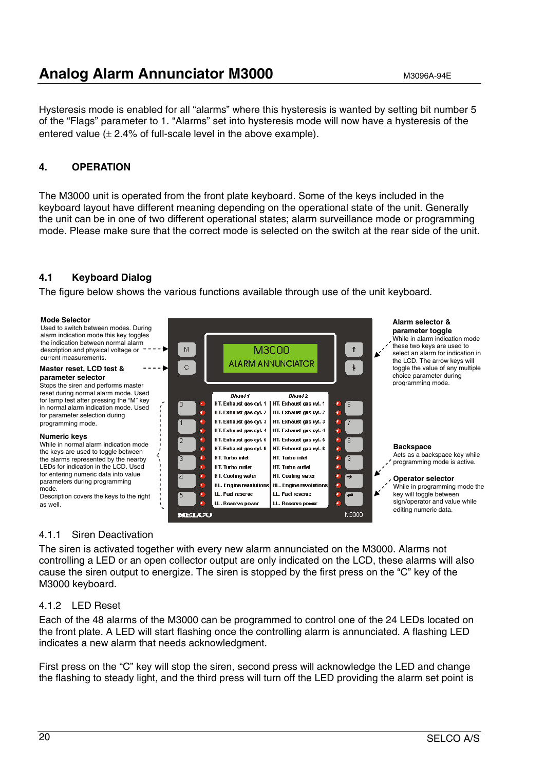### **Analog Alarm Annunciator M3000** M3096A-94E

Hysteresis mode is enabled for all "alarms" where this hysteresis is wanted by setting bit number 5 of the "Flags" parameter to 1. "Alarms" set into hysteresis mode will now have a hysteresis of the entered value  $(\pm 2.4\%$  of full-scale level in the above example).

#### **4. OPERATION**

The M3000 unit is operated from the front plate keyboard. Some of the keys included in the keyboard layout have different meaning depending on the operational state of the unit. Generally the unit can be in one of two different operational states; alarm surveillance mode or programming mode. Please make sure that the correct mode is selected on the switch at the rear side of the unit.

#### **4.1 Keyboard Dialog**

The figure below shows the various functions available through use of the unit keyboard.

#### **Mode Selector Alarm selector &**  Used to switch between modes. During **parameter toggle** alarm indication mode this key toggles While in alarm indication mode the indication between normal alarm these two keys are used to M M3000  $\ddot{\mathbf{r}}$ description and physical voltage or select an alarm for indication in current measurements. the LCD. The arrow keys will **ALARM ANNUNCIATOR**  $\ddot{\phantom{a}}$  $\ddot{\rm c}$ toggle the value of any multiple **Master reset, LCD test &**  choice parameter during **parameter selector** programming mode. Stops the siren and performs master reset during normal alarm mode. Used Diesel 2 Diesel 1 for lamp test after pressing the "M" key HT. Exhaust gas cyl. 1 HT. Exhaust gas cyl. 1 in normal alarm indication mode. Used HT. Exhaust gas cvl. 2 HT. Exhaust gas cvl. 2 for parameter selection during HT. Exhaust gas cyl. 3 HT. Exhaust gas cyl. 3 programming mode. HT. Exhaust gas cvl. 4 HT. Exhaust gas cvl. 4 **Numeric keys** HT. Exhaust gas cyl. 5 HT. Exhaust gas cyl. 5 While in normal alarm indication mode **Backspace** HT. Exhaust ras cvl. 6 HT. Exhaust ras cvl. 6 the keys are used to toggle between Acts as a backspace key while **HT. Turbo inlet** HT. Turbo inlet the alarms represented by the nearby programming mode is active. LEDs for indication in the LCD. Used HT. Turbo outlet HT. Turbo outlet for entering numeric data into value **HT. Cooling water** HT. Cooling water **Operator selector** parameters during programming HL. Engine revolutions HL. Engine revolutions While in programming mode the mode. LL. Fuel reserve LL. Fuel reserve key will toggle between Description covers the keys to the right sign/operator and value while LL, Reserve power LL. Reserve powe as well. editing numeric data.M3000 **SELCO**

#### 4.1.1 Siren Deactivation

The siren is activated together with every new alarm annunciated on the M3000. Alarms not controlling a LED or an open collector output are only indicated on the LCD, these alarms will also cause the siren output to energize. The siren is stopped by the first press on the "C" key of the M3000 keyboard.

#### 4.1.2 LED Reset

Each of the 48 alarms of the M3000 can be programmed to control one of the 24 LEDs located on the front plate. A LED will start flashing once the controlling alarm is annunciated. A flashing LED indicates a new alarm that needs acknowledgment.

First press on the "C" key will stop the siren, second press will acknowledge the LED and change the flashing to steady light, and the third press will turn off the LED providing the alarm set point is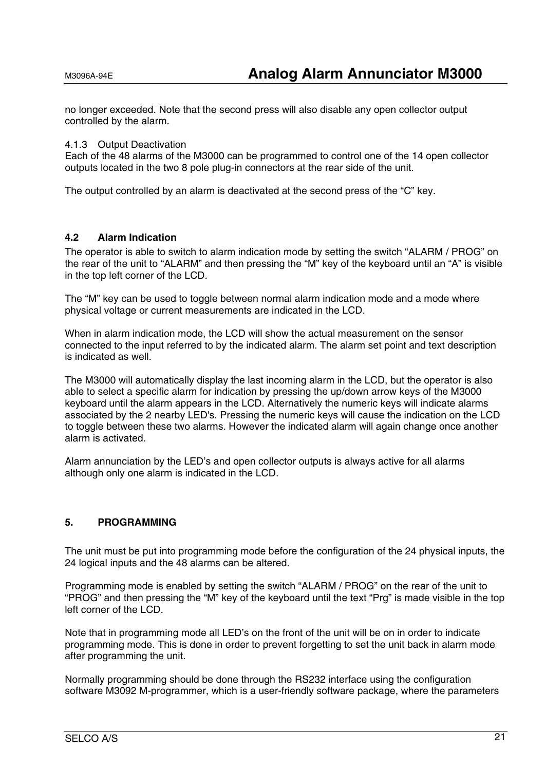no longer exceeded. Note that the second press will also disable any open collector output controlled by the alarm.

#### 4.1.3 Output Deactivation

Each of the 48 alarms of the M3000 can be programmed to control one of the 14 open collector outputs located in the two 8 pole plug-in connectors at the rear side of the unit.

The output controlled by an alarm is deactivated at the second press of the "C" key.

#### **4.2 Alarm Indication**

The operator is able to switch to alarm indication mode by setting the switch "ALARM / PROG" on the rear of the unit to "ALARM" and then pressing the "M" key of the keyboard until an "A" is visible in the top left corner of the LCD.

The "M" key can be used to toggle between normal alarm indication mode and a mode where physical voltage or current measurements are indicated in the LCD.

When in alarm indication mode, the LCD will show the actual measurement on the sensor connected to the input referred to by the indicated alarm. The alarm set point and text description is indicated as well.

The M3000 will automatically display the last incoming alarm in the LCD, but the operator is also able to select a specific alarm for indication by pressing the up/down arrow keys of the M3000 keyboard until the alarm appears in the LCD. Alternatively the numeric keys will indicate alarms associated by the 2 nearby LED's. Pressing the numeric keys will cause the indication on the LCD to toggle between these two alarms. However the indicated alarm will again change once another alarm is activated.

Alarm annunciation by the LED's and open collector outputs is always active for all alarms although only one alarm is indicated in the LCD.

#### **5. PROGRAMMING**

The unit must be put into programming mode before the configuration of the 24 physical inputs, the 24 logical inputs and the 48 alarms can be altered.

Programming mode is enabled by setting the switch "ALARM / PROG" on the rear of the unit to "PROG" and then pressing the "M" key of the keyboard until the text "Prg" is made visible in the top left corner of the LCD.

Note that in programming mode all LED's on the front of the unit will be on in order to indicate programming mode. This is done in order to prevent forgetting to set the unit back in alarm mode after programming the unit.

Normally programming should be done through the RS232 interface using the configuration software M3092 M-programmer, which is a user-friendly software package, where the parameters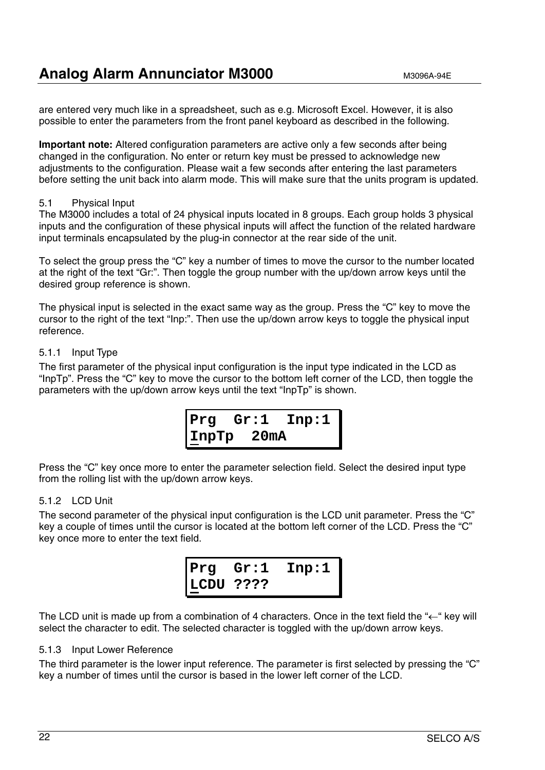are entered very much like in a spreadsheet, such as e.g. Microsoft Excel. However, it is also possible to enter the parameters from the front panel keyboard as described in the following.

**Important note:** Altered configuration parameters are active only a few seconds after being changed in the configuration. No enter or return key must be pressed to acknowledge new adjustments to the configuration. Please wait a few seconds after entering the last parameters before setting the unit back into alarm mode. This will make sure that the units program is updated.

#### 5.1 Physical Input

The M3000 includes a total of 24 physical inputs located in 8 groups. Each group holds 3 physical inputs and the configuration of these physical inputs will affect the function of the related hardware input terminals encapsulated by the plug-in connector at the rear side of the unit.

To select the group press the "C" key a number of times to move the cursor to the number located at the right of the text "Gr:". Then toggle the group number with the up/down arrow keys until the desired group reference is shown.

The physical input is selected in the exact same way as the group. Press the "C" key to move the cursor to the right of the text "Inp:". Then use the up/down arrow keys to toggle the physical input reference.

#### 5.1.1 Input Type

The first parameter of the physical input configuration is the input type indicated in the LCD as "InpTp". Press the "C" key to move the cursor to the bottom left corner of the LCD, then toggle the parameters with the up/down arrow keys until the text "InpTp" is shown.



Press the "C" key once more to enter the parameter selection field. Select the desired input type from the rolling list with the up/down arrow keys.

#### 5.1.2 LCD Unit

The second parameter of the physical input configuration is the LCD unit parameter. Press the "C" key a couple of times until the cursor is located at the bottom left corner of the LCD. Press the "C" key once more to enter the text field.

> **Prg Gr:1 Inp:1 LCDU ????**

The LCD unit is made up from a combination of 4 characters. Once in the text field the "←" key will select the character to edit. The selected character is toggled with the up/down arrow keys.

#### 5.1.3 Input Lower Reference

The third parameter is the lower input reference. The parameter is first selected by pressing the "C" key a number of times until the cursor is based in the lower left corner of the LCD.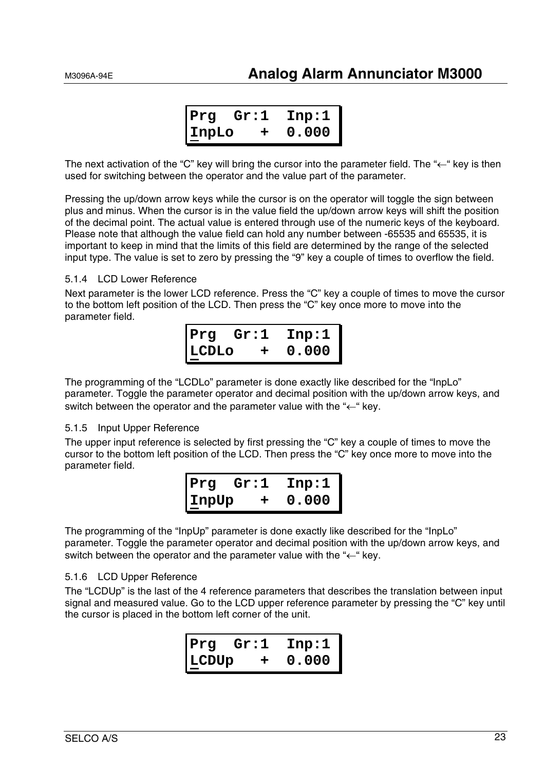| Prg     | Gr:1 | Inp:1 |
|---------|------|-------|
| l InpLo | ᅩ    | 0.000 |

The next activation of the "C" key will bring the cursor into the parameter field. The "←" key is then used for switching between the operator and the value part of the parameter.

Pressing the up/down arrow keys while the cursor is on the operator will toggle the sign between plus and minus. When the cursor is in the value field the up/down arrow keys will shift the position of the decimal point. The actual value is entered through use of the numeric keys of the keyboard. Please note that although the value field can hold any number between -65535 and 65535, it is important to keep in mind that the limits of this field are determined by the range of the selected input type. The value is set to zero by pressing the "9" key a couple of times to overflow the field.

#### 5.1.4 LCD Lower Reference

Next parameter is the lower LCD reference. Press the "C" key a couple of times to move the cursor to the bottom left position of the LCD. Then press the "C" key once more to move into the parameter field.

| Prq           | Gr:1 | Inp:1 |
|---------------|------|-------|
| <b>ILCDLO</b> | ᅩ    | 0.000 |

The programming of the "LCDLo" parameter is done exactly like described for the "InpLo" parameter. Toggle the parameter operator and decimal position with the up/down arrow keys, and switch between the operator and the parameter value with the "←" key.

#### 5.1.5 Input Upper Reference

The upper input reference is selected by first pressing the "C" key a couple of times to move the cursor to the bottom left position of the LCD. Then press the "C" key once more to move into the parameter field.

| Prg          | Gr:1 | Inp:1 |
|--------------|------|-------|
| <b>InpUp</b> | +    | 0.000 |

The programming of the "InpUp" parameter is done exactly like described for the "InpLo" parameter. Toggle the parameter operator and decimal position with the up/down arrow keys, and switch between the operator and the parameter value with the "←" key.

#### 5.1.6 LCD Upper Reference

The "LCDUp" is the last of the 4 reference parameters that describes the translation between input signal and measured value. Go to the LCD upper reference parameter by pressing the "C" key until the cursor is placed in the bottom left corner of the unit.

| Prg   | Gr:1 | $\mathtt{Inp:1}$ |
|-------|------|------------------|
| LCDUp | ÷    | 0.000            |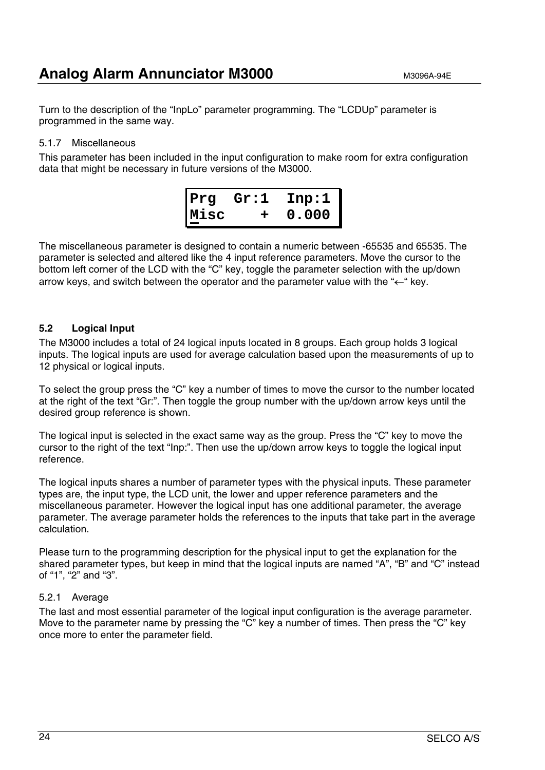Turn to the description of the "InpLo" parameter programming. The "LCDUp" parameter is programmed in the same way.

#### 5.1.7 Miscellaneous

This parameter has been included in the input configuration to make room for extra configuration data that might be necessary in future versions of the M3000.



The miscellaneous parameter is designed to contain a numeric between -65535 and 65535. The parameter is selected and altered like the 4 input reference parameters. Move the cursor to the bottom left corner of the LCD with the "C" key, toggle the parameter selection with the up/down arrow keys, and switch between the operator and the parameter value with the "←" key.

#### **5.2 Logical Input**

The M3000 includes a total of 24 logical inputs located in 8 groups. Each group holds 3 logical inputs. The logical inputs are used for average calculation based upon the measurements of up to 12 physical or logical inputs.

To select the group press the "C" key a number of times to move the cursor to the number located at the right of the text "Gr:". Then toggle the group number with the up/down arrow keys until the desired group reference is shown.

The logical input is selected in the exact same way as the group. Press the "C" key to move the cursor to the right of the text "Inp:". Then use the up/down arrow keys to toggle the logical input reference.

The logical inputs shares a number of parameter types with the physical inputs. These parameter types are, the input type, the LCD unit, the lower and upper reference parameters and the miscellaneous parameter. However the logical input has one additional parameter, the average parameter. The average parameter holds the references to the inputs that take part in the average calculation.

Please turn to the programming description for the physical input to get the explanation for the shared parameter types, but keep in mind that the logical inputs are named "A", "B" and "C" instead of "1", "2" and "3".

#### 5.2.1 Average

The last and most essential parameter of the logical input configuration is the average parameter. Move to the parameter name by pressing the "C" key a number of times. Then press the "C" key once more to enter the parameter field.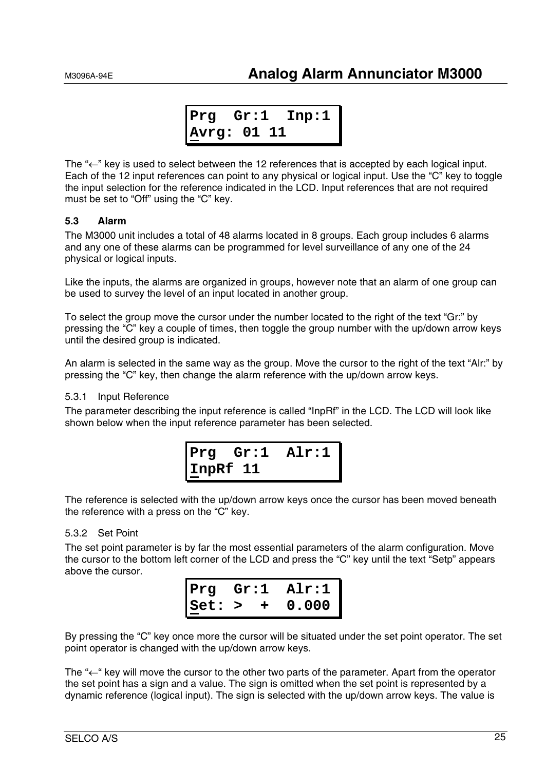$$
\begin{array}{|c|c|c|c|}\n \hline\n \texttt{Prg} & \texttt{Gr:1} & \texttt{Imp:1} \\
 \hline\n \texttt{Avrg: 01 11} & & \n\end{array}
$$

The " $\leftarrow$ " key is used to select between the 12 references that is accepted by each logical input. Each of the 12 input references can point to any physical or logical input. Use the "C" key to toggle the input selection for the reference indicated in the LCD. Input references that are not required must be set to "Off" using the "C" key.

#### **5.3 Alarm**

The M3000 unit includes a total of 48 alarms located in 8 groups. Each group includes 6 alarms and any one of these alarms can be programmed for level surveillance of any one of the 24 physical or logical inputs.

Like the inputs, the alarms are organized in groups, however note that an alarm of one group can be used to survey the level of an input located in another group.

To select the group move the cursor under the number located to the right of the text "Gr:" by pressing the "C" key a couple of times, then toggle the group number with the up/down arrow keys until the desired group is indicated.

An alarm is selected in the same way as the group. Move the cursor to the right of the text "Alr:" by pressing the "C" key, then change the alarm reference with the up/down arrow keys.

#### 5.3.1 Input Reference

The parameter describing the input reference is called "InpRf" in the LCD. The LCD will look like shown below when the input reference parameter has been selected.



The reference is selected with the up/down arrow keys once the cursor has been moved beneath the reference with a press on the "C" key.

#### 5.3.2 Set Point

The set point parameter is by far the most essential parameters of the alarm configuration. Move the cursor to the bottom left corner of the LCD and press the "C" key until the text "Setp" appears above the cursor.

| Prg   |        | Gr:1 | Air:1 |
|-------|--------|------|-------|
| Iset: | $\geq$ | ÷.   | 0.000 |

By pressing the "C" key once more the cursor will be situated under the set point operator. The set point operator is changed with the up/down arrow keys.

The " $\leftarrow$ " key will move the cursor to the other two parts of the parameter. Apart from the operator the set point has a sign and a value. The sign is omitted when the set point is represented by a dynamic reference (logical input). The sign is selected with the up/down arrow keys. The value is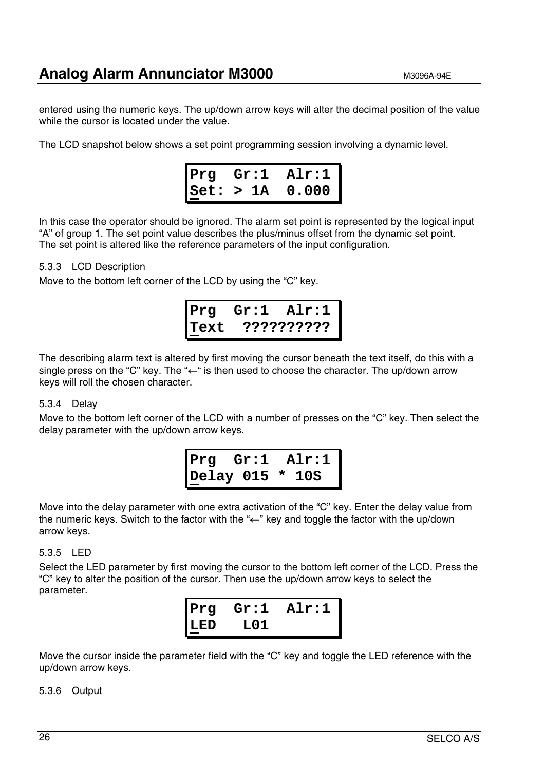entered using the numeric keys. The up/down arrow keys will alter the decimal position of the value while the cursor is located under the value.

The LCD snapshot below shows a set point programming session involving a dynamic level.



In this case the operator should be ignored. The alarm set point is represented by the logical input "A" of group 1. The set point value describes the plus/minus offset from the dynamic set point. The set point is altered like the reference parameters of the input configuration.

#### 5.3.3 LCD Description

Move to the bottom left corner of the LCD by using the "C" key.

**Prg Gr:1 Alr:1 Text ??????????**

The describing alarm text is altered by first moving the cursor beneath the text itself, do this with a single press on the "C" key. The " $\leftarrow$ " is then used to choose the character. The up/down arrow keys will roll the chosen character.

#### 5.3.4 Delay

Move to the bottom left corner of the LCD with a number of presses on the "C" key. Then select the delay parameter with the up/down arrow keys.

$$
\begin{array}{ccc}\n\texttt{Prg} & \texttt{Gr:1} & \texttt{Alr:1} \\
\texttt{Delay 015 * 10S}\n\end{array}
$$

Move into the delay parameter with one extra activation of the "C" key. Enter the delay value from the numeric keys. Switch to the factor with the "←" key and toggle the factor with the up/down arrow keys.

#### 5.3.5 LED

Select the LED parameter by first moving the cursor to the bottom left corner of the LCD. Press the "C" key to alter the position of the cursor. Then use the up/down arrow keys to select the parameter.



Move the cursor inside the parameter field with the "C" key and toggle the LED reference with the up/down arrow keys.

5.3.6 Output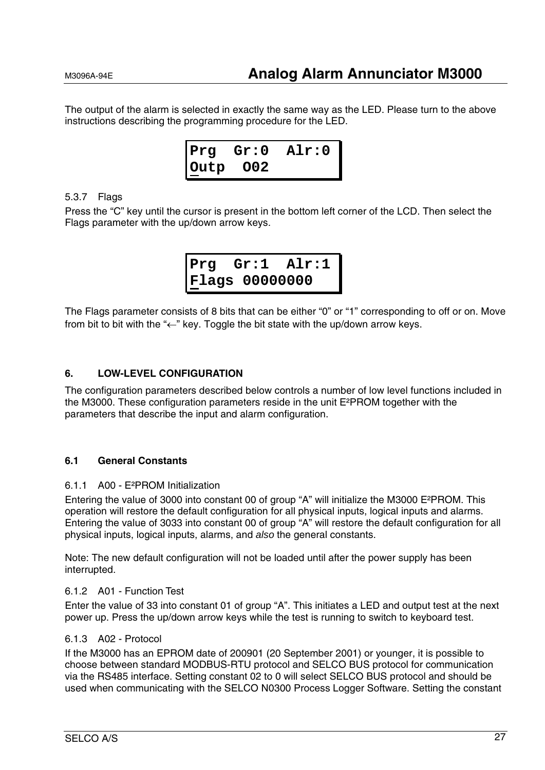The output of the alarm is selected in exactly the same way as the LED. Please turn to the above instructions describing the programming procedure for the LED.



#### 5.3.7 Flags

Press the "C" key until the cursor is present in the bottom left corner of the LCD. Then select the Flags parameter with the up/down arrow keys.

**Prg Gr:1 Alr:1 Flags 00000000**

The Flags parameter consists of 8 bits that can be either "0" or "1" corresponding to off or on. Move from bit to bit with the " $\leftarrow$ " key. Toggle the bit state with the up/down arrow keys.

#### **6. LOW-LEVEL CONFIGURATION**

The configuration parameters described below controls a number of low level functions included in the M3000. These configuration parameters reside in the unit E²PROM together with the parameters that describe the input and alarm configuration.

#### **6.1 General Constants**

#### 6.1.1 A00 - E²PROM Initialization

Entering the value of 3000 into constant 00 of group "A" will initialize the M3000 E²PROM. This operation will restore the default configuration for all physical inputs, logical inputs and alarms. Entering the value of 3033 into constant 00 of group "A" will restore the default configuration for all physical inputs, logical inputs, alarms, and *also* the general constants.

Note: The new default configuration will not be loaded until after the power supply has been interrupted.

#### 6.1.2 A01 - Function Test

Enter the value of 33 into constant 01 of group "A". This initiates a LED and output test at the next power up. Press the up/down arrow keys while the test is running to switch to keyboard test.

#### 6.1.3 A02 - Protocol

If the M3000 has an EPROM date of 200901 (20 September 2001) or younger, it is possible to choose between standard MODBUS-RTU protocol and SELCO BUS protocol for communication via the RS485 interface. Setting constant 02 to 0 will select SELCO BUS protocol and should be used when communicating with the SELCO N0300 Process Logger Software. Setting the constant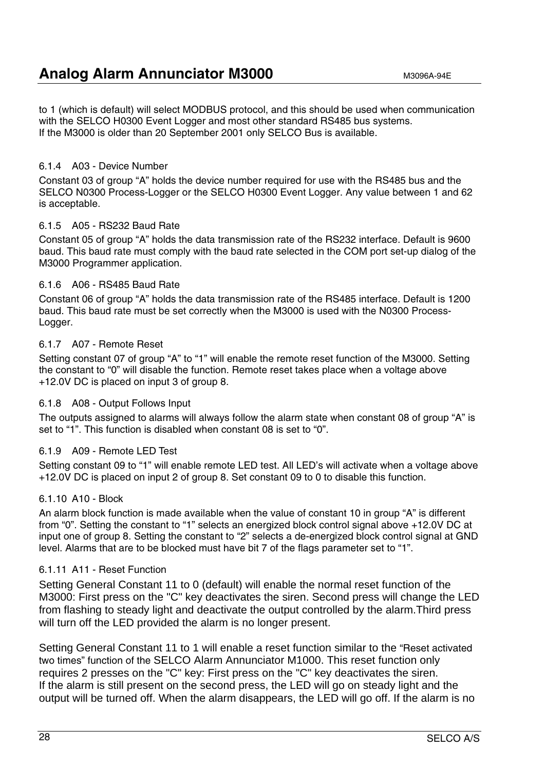to 1 (which is default) will select MODBUS protocol, and this should be used when communication with the SELCO H0300 Event Logger and most other standard RS485 bus systems. If the M3000 is older than 20 September 2001 only SELCO Bus is available.

#### 6.1.4 A03 - Device Number

Constant 03 of group "A" holds the device number required for use with the RS485 bus and the SELCO N0300 Process-Logger or the SELCO H0300 Event Logger. Any value between 1 and 62 is acceptable.

#### 6.1.5 A05 - RS232 Baud Rate

Constant 05 of group "A" holds the data transmission rate of the RS232 interface. Default is 9600 baud. This baud rate must comply with the baud rate selected in the COM port set-up dialog of the M3000 Programmer application.

#### 6.1.6 A06 - RS485 Baud Rate

Constant 06 of group "A" holds the data transmission rate of the RS485 interface. Default is 1200 baud. This baud rate must be set correctly when the M3000 is used with the N0300 Process-Logger.

#### 6.1.7 A07 - Remote Reset

Setting constant 07 of group "A" to "1" will enable the remote reset function of the M3000. Setting the constant to "0" will disable the function. Remote reset takes place when a voltage above +12.0V DC is placed on input 3 of group 8.

#### 6.1.8 A08 - Output Follows Input

The outputs assigned to alarms will always follow the alarm state when constant 08 of group "A" is set to "1". This function is disabled when constant 08 is set to "0".

#### 6.1.9 A09 - Remote LED Test

Setting constant 09 to "1" will enable remote LED test. All LED's will activate when a voltage above +12.0V DC is placed on input 2 of group 8. Set constant 09 to 0 to disable this function.

#### 6.1.10 A10 - Block

An alarm block function is made available when the value of constant 10 in group "A" is different from "0". Setting the constant to "1" selects an energized block control signal above +12.0V DC at input one of group 8. Setting the constant to "2" selects a de-energized block control signal at GND level. Alarms that are to be blocked must have bit 7 of the flags parameter set to "1".

#### 6.1.11 A11 - Reset Function

Setting General Constant 11 to 0 (default) will enable the normal reset function of the M3000: First press on the "C" key deactivates the siren. Second press will change the LED from flashing to steady light and deactivate the output controlled by the alarm.Third press will turn off the LED provided the alarm is no longer present.

Setting General Constant 11 to 1 will enable a reset function similar to the "Reset activated two times" function of the SELCO Alarm Annunciator M1000. This reset function only requires 2 presses on the "C" key: First press on the "C" key deactivates the siren. If the alarm is still present on the second press, the LED will go on steady light and the output will be turned off. When the alarm disappears, the LED will go off. If the alarm is no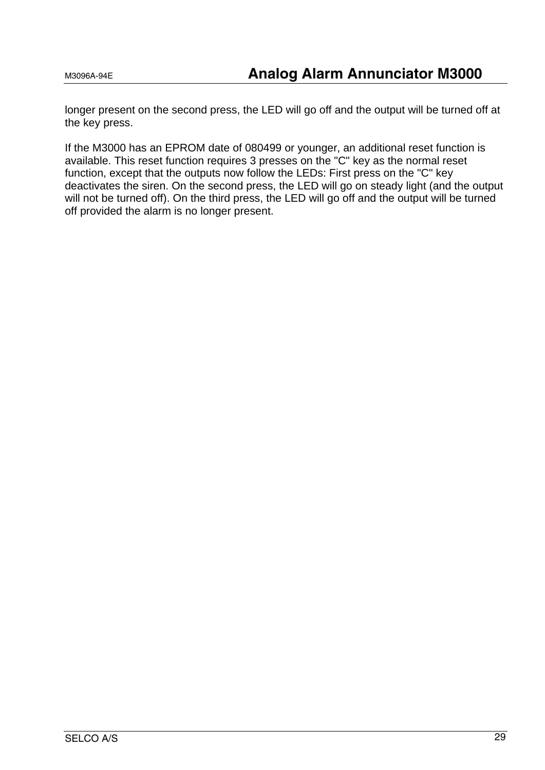longer present on the second press, the LED will go off and the output will be turned off at the key press.

If the M3000 has an EPROM date of 080499 or younger, an additional reset function is available. This reset function requires 3 presses on the "C" key as the normal reset function, except that the outputs now follow the LEDs: First press on the "C" key deactivates the siren. On the second press, the LED will go on steady light (and the output will not be turned off). On the third press, the LED will go off and the output will be turned off provided the alarm is no longer present.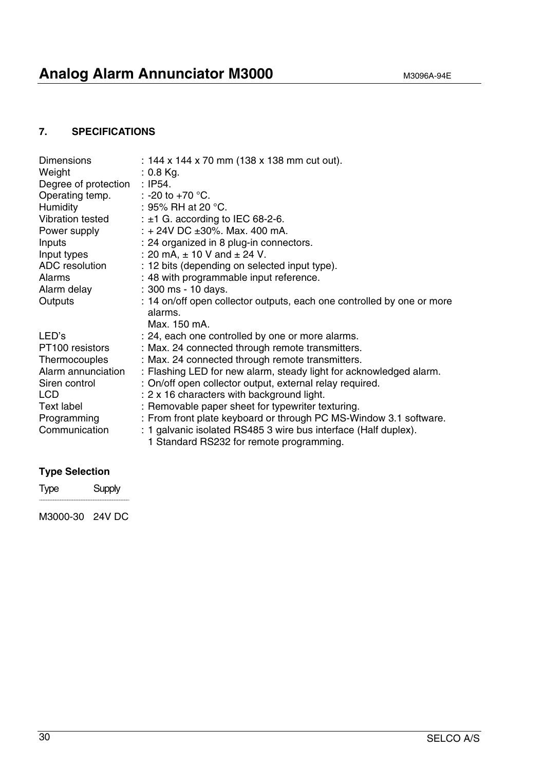### **Analog Alarm Annunciator M3000** M3096A-94E

#### **7. SPECIFICATIONS**

| <b>Dimensions</b><br>Weight<br>Degree of protection<br>Operating temp.<br><b>Humidity</b><br>Vibration tested | : 144 x 144 x 70 mm (138 x 138 mm cut out).<br>$: 0.8$ Kg.<br>: $IP54.$<br>: -20 to +70 $^{\circ}$ C.<br>: 95% RH at 20 $^{\circ}$ C.<br>: $\pm$ 1 G. according to IEC 68-2-6. |
|---------------------------------------------------------------------------------------------------------------|--------------------------------------------------------------------------------------------------------------------------------------------------------------------------------|
| Power supply<br>Inputs                                                                                        | : $+ 24V$ DC $\pm 30\%$ . Max. 400 mA.<br>: 24 organized in 8 plug-in connectors.                                                                                              |
| Input types                                                                                                   | : 20 mA, $\pm$ 10 V and $\pm$ 24 V.                                                                                                                                            |
| ADC resolution                                                                                                | : 12 bits (depending on selected input type).                                                                                                                                  |
| Alarms                                                                                                        | : 48 with programmable input reference.                                                                                                                                        |
| Alarm delay                                                                                                   | : 300 ms - 10 days.                                                                                                                                                            |
| Outputs                                                                                                       | : 14 on/off open collector outputs, each one controlled by one or more<br>alarms.<br>Max. 150 mA.                                                                              |
| LED's                                                                                                         | : 24, each one controlled by one or more alarms.                                                                                                                               |
| PT100 resistors                                                                                               | : Max. 24 connected through remote transmitters.                                                                                                                               |
| Thermocouples                                                                                                 | : Max. 24 connected through remote transmitters.                                                                                                                               |
| Alarm annunciation                                                                                            | : Flashing LED for new alarm, steady light for acknowledged alarm.                                                                                                             |
| Siren control                                                                                                 | : On/off open collector output, external relay required.                                                                                                                       |
| <b>LCD</b>                                                                                                    | : 2 x 16 characters with background light.                                                                                                                                     |
| Text label                                                                                                    | : Removable paper sheet for typewriter texturing.                                                                                                                              |
| Programming                                                                                                   | : From front plate keyboard or through PC MS-Window 3.1 software.                                                                                                              |
| Communication                                                                                                 | : 1 galvanic isolated RS485 3 wire bus interface (Half duplex).<br>1 Standard RS232 for remote programming.                                                                    |

### **Type Selection**

Type Supply  $\overline{\phantom{a}}$  , where the contract of the contract of the contract of the contract of the contract of the contract of the contract of the contract of the contract of the contract of the contract of the contract of the contr

M3000-30 24V DC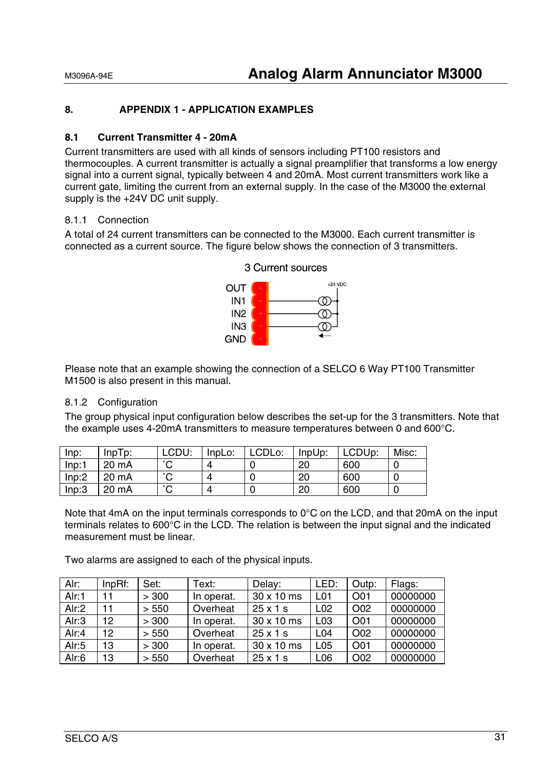#### **8. APPENDIX 1 - APPLICATION EXAMPLES**

#### **8.1 Current Transmitter 4 - 20mA**

Current transmitters are used with all kinds of sensors including PT100 resistors and thermocouples. A current transmitter is actually a signal preamplifier that transforms a low energy signal into a current signal, typically between 4 and 20mA. Most current transmitters work like a current gate, limiting the current from an external supply. In the case of the M3000 the external supply is the +24V DC unit supply.

#### 8.1.1 Connection

A total of 24 current transmitters can be connected to the M3000. Each current transmitter is connected as a current source. The figure below shows the connection of 3 transmitters.



3 Current sources

Please note that an example showing the connection of a SELCO 6 Way PT100 Transmitter M1500 is also present in this manual.

#### 8.1.2 Configuration

The group physical input configuration below describes the set-up for the 3 transmitters. Note that the example uses 4-20mA transmitters to measure temperatures between 0 and 600°C.

| Inp:  | $InpTp$ : | LCDU:               | InpLo:   | ∟CDLo: | InpUp: | LCDUp: | Misc: |
|-------|-----------|---------------------|----------|--------|--------|--------|-------|
| Inp:1 | 20 mA     | $\hat{\phantom{a}}$ |          |        | 20     | 600    | U     |
| Inp:2 | 20 mA     | $\sim$              | $\bf{u}$ |        | 20     | 600    |       |
| Inp:3 | 20 mA     | $\sim$              | Δ        |        | 20     | 600    | U     |

Note that 4mA on the input terminals corresponds to 0°C on the LCD, and that 20mA on the input terminals relates to 600°C in the LCD. The relation is between the input signal and the indicated measurement must be linear.

Two alarms are assigned to each of the physical inputs.

| Alr:  | $InpRf$ : | Set:  | Text:      | Delay:          | LED:             | Outp:           | Flags:   |
|-------|-----------|-------|------------|-----------------|------------------|-----------------|----------|
| Alr:1 | 11        | > 300 | In operat. | 30 x 10 ms      | L <sub>0</sub> 1 | O01             | 00000000 |
| Air:2 | 11        | > 550 | Overheat   | 25x1s           | L <sub>02</sub>  | O <sub>02</sub> | 00000000 |
| Alr:3 | 12        | > 300 | In operat. | 30 x 10 ms      | L <sub>03</sub>  | O01             | 00000000 |
| Alr:4 | 12        | > 550 | Overheat   | $25 \times 1$ s | L <sub>04</sub>  | O02             | 00000000 |
| Alr:5 | 13        | > 300 | In operat. | 30 x 10 ms      | L <sub>05</sub>  | O01             | 00000000 |
| Alr:6 | 13        | > 550 | Overheat   | $25 \times 1$ s | L <sub>06</sub>  | O02             | 00000000 |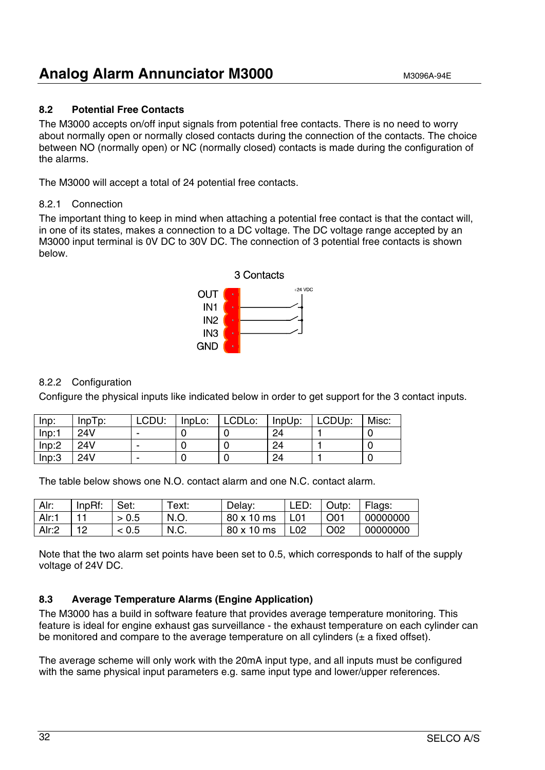#### **8.2 Potential Free Contacts**

The M3000 accepts on/off input signals from potential free contacts. There is no need to worry about normally open or normally closed contacts during the connection of the contacts. The choice between NO (normally open) or NC (normally closed) contacts is made during the configuration of the alarms.

The M3000 will accept a total of 24 potential free contacts.

#### 8.2.1 Connection

The important thing to keep in mind when attaching a potential free contact is that the contact will, in one of its states, makes a connection to a DC voltage. The DC voltage range accepted by an M3000 input terminal is 0V DC to 30V DC. The connection of 3 potential free contacts is shown below.



#### 8.2.2 Configuration

Configure the physical inputs like indicated below in order to get support for the 3 contact inputs.

| Inp:  | $InpTp$ : | LCDU: | InpLo: | LCDLo: | InpUp: | LCDUp: | Misc: |
|-------|-----------|-------|--------|--------|--------|--------|-------|
| Inp:1 | 24V       |       |        |        | 24     |        |       |
| Inp:2 | 24V       |       |        |        | 24     |        |       |
| Inp:3 | 24V       |       |        |        | 24     |        |       |

The table below shows one N.O. contact alarm and one N.C. contact alarm.

| Alr:              | InpRf: | Set: | Text: | Delay:     | LED:             | Outp:           | Flags:   |
|-------------------|--------|------|-------|------------|------------------|-----------------|----------|
| Alr: <sup>+</sup> |        | 0.5  | N.O.  | 80 x 10 ms | L <sub>0</sub> 1 | O <sub>01</sub> | 00000000 |
| Alr:2             | 1 ∩    | 0.5  | N.C.  | 80 x 10 ms | L02              | O <sub>02</sub> | 00000000 |

Note that the two alarm set points have been set to 0.5, which corresponds to half of the supply voltage of 24V DC.

#### **8.3 Average Temperature Alarms (Engine Application)**

The M3000 has a build in software feature that provides average temperature monitoring. This feature is ideal for engine exhaust gas surveillance - the exhaust temperature on each cylinder can be monitored and compare to the average temperature on all cylinders  $(\pm a$  fixed offset).

The average scheme will only work with the 20mA input type, and all inputs must be configured with the same physical input parameters e.g. same input type and lower/upper references.